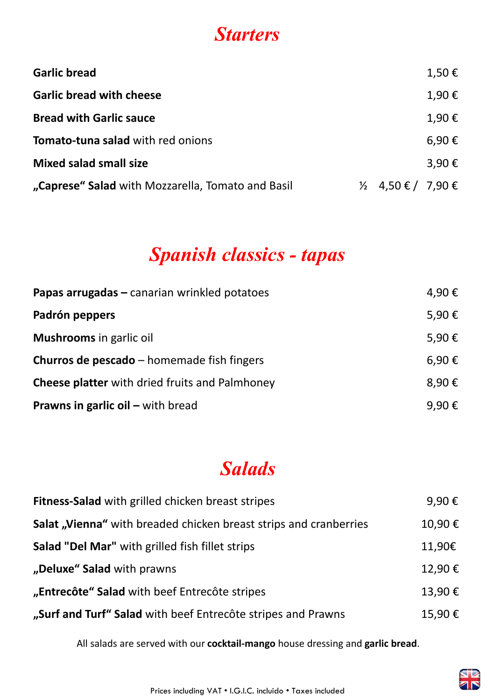### **Starters**

| <b>Garlic bread</b>                               |                               | $1,50 \in$ |
|---------------------------------------------------|-------------------------------|------------|
| <b>Garlic bread with cheese</b>                   |                               | 1,90€      |
| <b>Bread with Garlic sauce</b>                    |                               | 1,90€      |
| Tomato-tuna salad with red onions                 |                               | 6,90€      |
| <b>Mixed salad small size</b>                     |                               | 3,90€      |
| "Caprese" Salad with Mozzarella, Tomato and Basil | $\frac{1}{2}$ 4,50 € / 7,90 € |            |

### **Spanish classics - tapas**

| Papas arrugadas – canarian wrinkled potatoes          | 4,90€ |
|-------------------------------------------------------|-------|
| Padrón peppers                                        | 5,90€ |
| <b>Mushrooms</b> in garlic oil                        | 5,90€ |
| <b>Churros de pescado</b> – homemade fish fingers     | 6,90€ |
| <b>Cheese platter</b> with dried fruits and Palmhoney | 8,90€ |
| <b>Prawns in garlic oil – with bread</b>              | 9,90€ |

## **Salads**

| Fitness-Salad with grilled chicken breast stripes                        | 9,90€  |
|--------------------------------------------------------------------------|--------|
| <b>Salat, Vienna</b> "with breaded chicken breast strips and cranberries | 10,90€ |
| Salad "Del Mar" with grilled fish fillet strips                          | 11,90€ |
| "Deluxe" Salad with prawns                                               | 12,90€ |
| "Entrecôte" Salad with beef Entrecôte stripes                            | 13,90€ |
| "Surf and Turf" Salad with beef Entrecôte stripes and Prawns             | 15,90€ |

All salads are served with our **cocktail-mango** house dressing and **garlic bread**.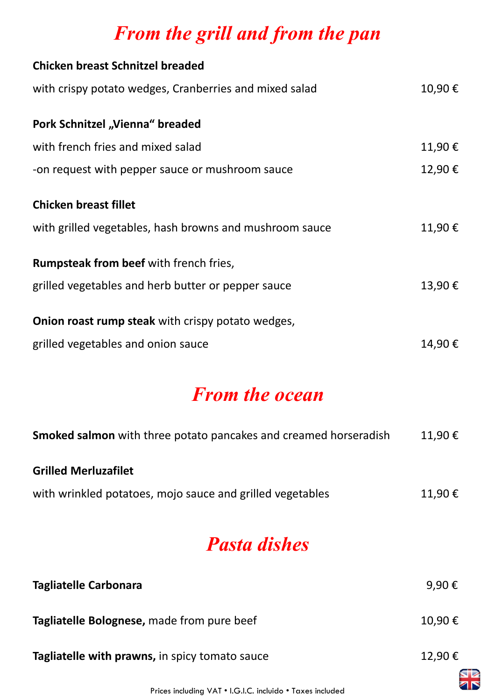# **From the grill and from the pan**

| <b>Chicken breast Schnitzel breaded</b>                  |        |
|----------------------------------------------------------|--------|
| with crispy potato wedges, Cranberries and mixed salad   | 10,90€ |
| Pork Schnitzel "Vienna" breaded                          |        |
| with french fries and mixed salad                        | 11,90€ |
| -on request with pepper sauce or mushroom sauce          | 12,90€ |
| <b>Chicken breast fillet</b>                             |        |
| with grilled vegetables, hash browns and mushroom sauce  | 11,90€ |
| Rumpsteak from beef with french fries,                   |        |
| grilled vegetables and herb butter or pepper sauce       | 13,90€ |
| <b>Onion roast rump steak</b> with crispy potato wedges, |        |
| grilled vegetables and onion sauce                       | 14,90€ |

### **From the ocean**

| <b>Smoked salmon</b> with three potato pancakes and creamed horseradish | $11,90 \notin$ |
|-------------------------------------------------------------------------|----------------|
| <b>Grilled Merluzafilet</b>                                             |                |
| with wrinkled potatoes, mojo sauce and grilled vegetables               | $11,90 \in$    |

### **Pasta dishes**

| <b>Tagliatelle Carbonara</b>                   | 9,90€          |
|------------------------------------------------|----------------|
| Tagliatelle Bolognese, made from pure beef     | $10,90 \notin$ |
| Tagliatelle with prawns, in spicy tomato sauce | 12,90€         |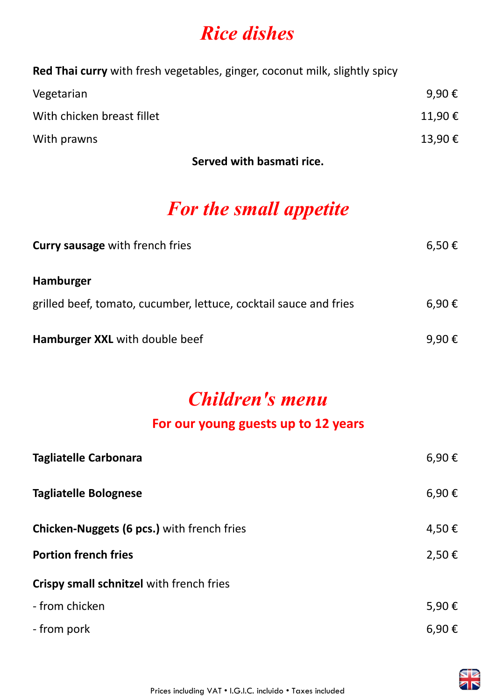### **Rice dishes**

**Red Thai curry** with fresh vegetables, ginger, coconut milk, slightly spicy

| Vegetarian                 | 9,90€  |
|----------------------------|--------|
| With chicken breast fillet | 11,90€ |
| With prawns                | 13,90€ |

**Served with basmati rice.**

## **For the small appetite**

| <b>Curry sausage with french fries</b>                            | $6,50 \in$ |
|-------------------------------------------------------------------|------------|
| Hamburger                                                         |            |
| grilled beef, tomato, cucumber, lettuce, cocktail sauce and fries | 6,90€      |
| Hamburger XXL with double beef                                    | 9,90€      |

### **Children's menu**

#### **For our young guests up to 12 years**

| <b>Tagliatelle Carbonara</b>                      | 6,90€      |
|---------------------------------------------------|------------|
| <b>Tagliatelle Bolognese</b>                      | 6,90€      |
| <b>Chicken-Nuggets (6 pcs.)</b> with french fries | 4,50€      |
| <b>Portion french fries</b>                       | 2,50€      |
| Crispy small schnitzel with french fries          |            |
| - from chicken                                    | 5,90€      |
| - from pork                                       | $6,90 \in$ |

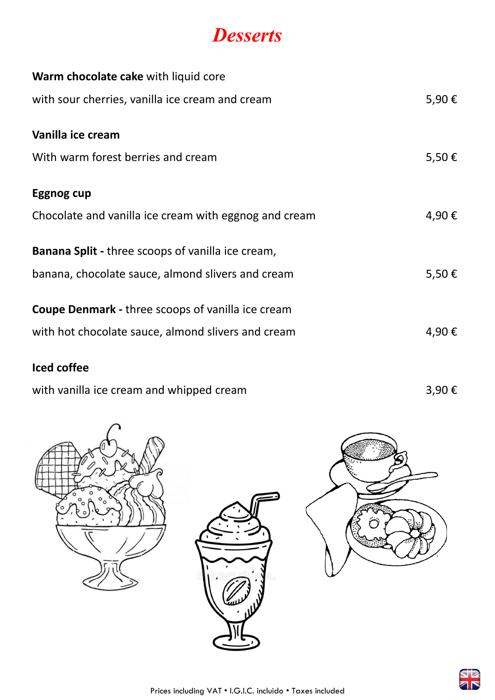#### **Desserts**

| Warm chocolate cake with liquid core                     |       |
|----------------------------------------------------------|-------|
| with sour cherries, vanilla ice cream and cream          | 5,90€ |
| Vanilla ice cream                                        |       |
| With warm forest berries and cream                       | 5,50€ |
| Eggnog cup                                               |       |
| Chocolate and vanilla ice cream with eggnog and cream    | 4,90€ |
| <b>Banana Split</b> - three scoops of vanilla ice cream, |       |
| banana, chocolate sauce, almond slivers and cream        | 5,50€ |
| <b>Coupe Denmark - three scoops of vanilla ice cream</b> |       |
| with hot chocolate sauce, almond slivers and cream       | 4,90€ |

#### **Iced coffee**

with vanilla ice cream and whipped cream  $3,90 \in$ 







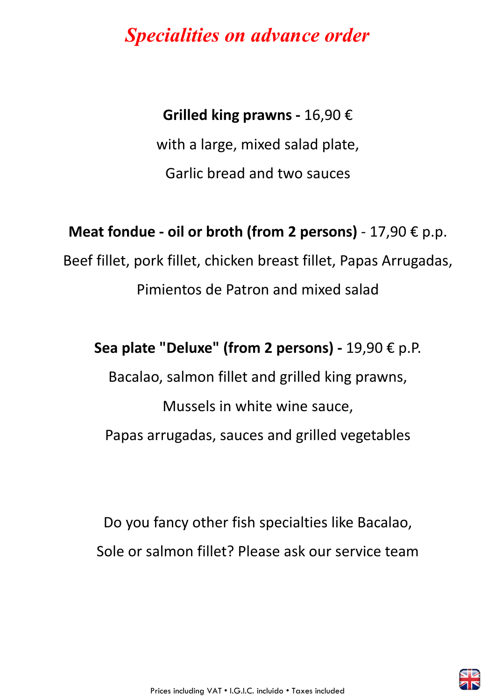### **Specialities on advance order**

#### **Grilled king prawns -** 16,90 €

with a large, mixed salad plate, Garlic bread and two sauces

#### **Meat fondue - oil or broth (from 2 persons)** - 17,90 € p.p.

Beef fillet, pork fillet, chicken breast fillet, Papas Arrugadas, Pimientos de Patron and mixed salad

#### **Sea plate "Deluxe" (from 2 persons) -** 19,90 € p.P.

Bacalao, salmon fillet and grilled king prawns,

Mussels in white wine sauce, Papas arrugadas, sauces and grilled vegetables

Do you fancy other fish specialties like Bacalao, Sole or salmon fillet? Please ask our service team

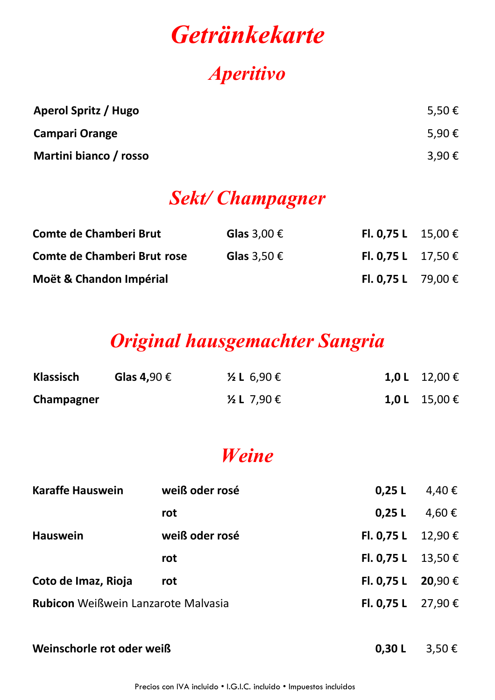# **Getränkekarte**

### **Aperitivo**

| Aperol Spritz / Hugo   | 5,50€ |
|------------------------|-------|
| <b>Campari Orange</b>  | 5,90€ |
| Martini bianco / rosso | 3,90€ |

### **Sekt/ Champagner**

| <b>Comte de Chamberi Brut</b> | Glas 3,00 $\epsilon$ | <b>FI. 0,75 L</b> 15,00 € |  |
|-------------------------------|----------------------|---------------------------|--|
| Comte de Chamberi Brut rose   | Glas $3,50 \in$      | <b>FI. 0,75 L</b> 17,50 € |  |
| Moët & Chandon Impérial       |                      | <b>FI. 0,75 L</b> 79,00 € |  |

## **Original hausgemachter Sangria**

| <b>Klassisch</b> | Glas 4,90 $\epsilon$ | $\frac{1}{2}$ L 6,90 € | 1,0 L 12,00 € |
|------------------|----------------------|------------------------|---------------|
| Champagner       |                      | $\frac{1}{2}$ L 7,90 € | 1,0 L 15,00 € |

### **Weine**

| <b>Karaffe Hauswein</b>                    | weiß oder rosé | 0.25L                  | 4,40 € |
|--------------------------------------------|----------------|------------------------|--------|
|                                            | rot            | 0.25L                  | 4,60€  |
| <b>Hauswein</b>                            | weiß oder rosé | Fl. 0,75 L $12,90 \in$ |        |
|                                            | rot            | Fl. 0,75 L $13,50 \in$ |        |
| Coto de Imaz, Rioja                        | rot            | FI. 0,75 L 20,90 €     |        |
| <b>Rubicon</b> Weißwein Lanzarote Malvasia |                | FI. 0,75 L 27,90 €     |        |
|                                            |                |                        |        |

**Weinschorle rot oder weiß 0,30 L** 3,50 €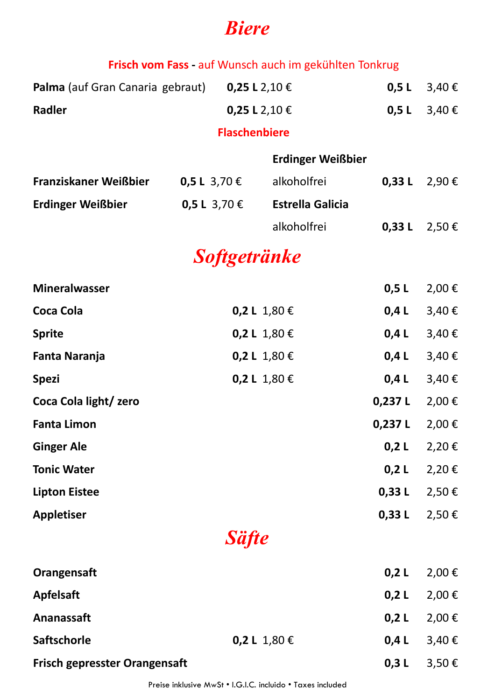### **Biere**

|                                                                |  |                      | Frisch vom Fass - auf Wunsch auch im gekühlten Tonkrug |         |               |
|----------------------------------------------------------------|--|----------------------|--------------------------------------------------------|---------|---------------|
| <b>Palma</b> (auf Gran Canaria gebraut) 0,25 L 2,10 $\epsilon$ |  |                      |                                                        | 0,5 L   | 3,40€         |
| Radler                                                         |  | 0,25 L 2,10 €        |                                                        | 0,5 L   | 3,40€         |
|                                                                |  | <b>Flaschenbiere</b> |                                                        |         |               |
|                                                                |  |                      | <b>Erdinger Weißbier</b>                               |         |               |
| <b>Franziskaner Weißbier</b>                                   |  | 0,5 L 3,70 €         | alkoholfrei                                            |         | 0,33 L 2,90 € |
| <b>Erdinger Weißbier</b>                                       |  | 0,5 L 3,70 €         | <b>Estrella Galicia</b>                                |         |               |
|                                                                |  |                      | alkoholfrei                                            |         | 0,33 L 2,50 € |
|                                                                |  | <b>Softgetränke</b>  |                                                        |         |               |
| <b>Mineralwasser</b>                                           |  |                      |                                                        | 0,5L    | $2,00 \in$    |
| Coca Cola                                                      |  |                      | 0,2 L 1,80 €                                           | 0,4 L   | 3,40€         |
| <b>Sprite</b>                                                  |  |                      | 0,2 L 1,80 €                                           | 0,4 L   | 3,40€         |
| Fanta Naranja                                                  |  |                      | 0,2 L 1,80 €                                           | $0,4$ L | 3,40€         |
| <b>Spezi</b>                                                   |  |                      | 0,2 L 1,80 €                                           | 0,4 L   | 3,40€         |
| Coca Cola light/zero                                           |  |                      |                                                        | 0,237 L | $2,00 \in$    |
| <b>Fanta Limon</b>                                             |  |                      |                                                        | 0,237 L | $2,00 \notin$ |
| <b>Ginger Ale</b>                                              |  |                      |                                                        | 0,2 L   | 2,20€         |
| <b>Tonic Water</b>                                             |  |                      |                                                        | 0,2 L   | 2,20€         |
| <b>Lipton Eistee</b>                                           |  |                      |                                                        | 0,33L   | 2,50€         |
| <b>Appletiser</b>                                              |  |                      |                                                        | 0,33L   | 2,50€         |
|                                                                |  | <b>Säfte</b>         |                                                        |         |               |
| Orangensaft                                                    |  |                      |                                                        | 0,2 L   | 2,00€         |
| <b>Apfelsaft</b>                                               |  |                      |                                                        | $0,2$ L | 2,00€         |
| Ananassaft                                                     |  |                      |                                                        | $0,2$ L | 2,00€         |
| <b>Saftschorle</b>                                             |  |                      | 0,2 L 1,80 €                                           | $0,4$ L | 3,40€         |
| <b>Frisch gepresster Orangensaft</b>                           |  |                      |                                                        | 0,3 L   | 3,50€         |